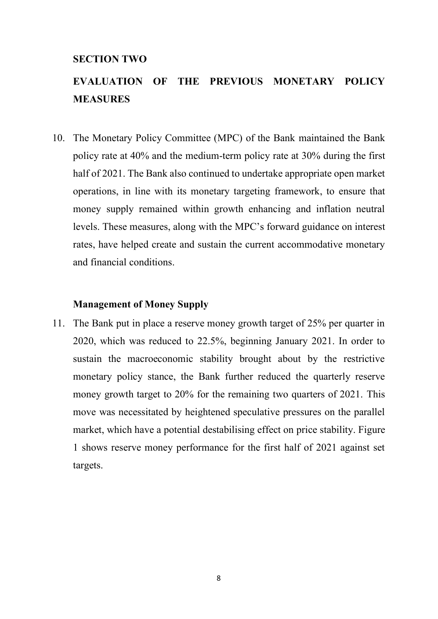### **SECTION TWO**

# **EVALUATION OF THE PREVIOUS MONETARY POLICY MEASURES**

10. The Monetary Policy Committee (MPC) of the Bank maintained the Bank policy rate at 40% and the medium-term policy rate at 30% during the first half of 2021. The Bank also continued to undertake appropriate open market operations, in line with its monetary targeting framework, to ensure that money supply remained within growth enhancing and inflation neutral levels. These measures, along with the MPC's forward guidance on interest rates, have helped create and sustain the current accommodative monetary and financial conditions.

#### **Management of Money Supply**

11. The Bank put in place a reserve money growth target of 25% per quarter in 2020, which was reduced to 22.5%, beginning January 2021. In order to sustain the macroeconomic stability brought about by the restrictive monetary policy stance, the Bank further reduced the quarterly reserve money growth target to 20% for the remaining two quarters of 2021. This move was necessitated by heightened speculative pressures on the parallel market, which have a potential destabilising effect on price stability. Figure 1 shows reserve money performance for the first half of 2021 against set targets.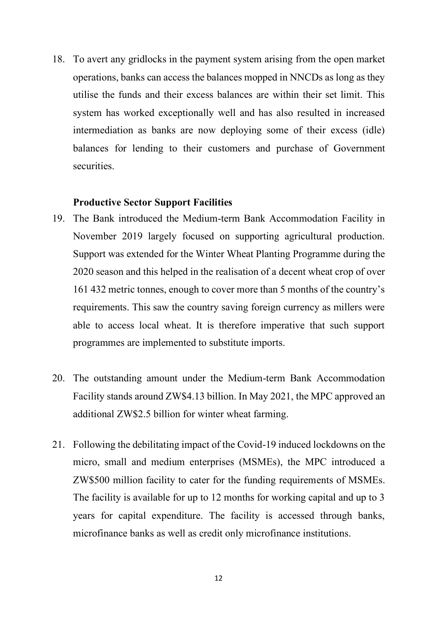18. To avert any gridlocks in the payment system arising from the open market operations, banks can access the balances mopped in NNCDs as long as they utilise the funds and their excess balances are within their set limit. This system has worked exceptionally well and has also resulted in increased intermediation as banks are now deploying some of their excess (idle) balances for lending to their customers and purchase of Government securities.

#### **Productive Sector Support Facilities**

- 19. The Bank introduced the Medium-term Bank Accommodation Facility in November 2019 largely focused on supporting agricultural production. Support was extended for the Winter Wheat Planting Programme during the 2020 season and this helped in the realisation of a decent wheat crop of over 161 432 metric tonnes, enough to cover more than 5 months of the country's requirements. This saw the country saving foreign currency as millers were able to access local wheat. It is therefore imperative that such support programmes are implemented to substitute imports.
- 20. The outstanding amount under the Medium-term Bank Accommodation Facility stands around ZW\$4.13 billion. In May 2021, the MPC approved an additional ZW\$2.5 billion for winter wheat farming.
- 21. Following the debilitating impact of the Covid-19 induced lockdowns on the micro, small and medium enterprises (MSMEs), the MPC introduced a ZW\$500 million facility to cater for the funding requirements of MSMEs. The facility is available for up to 12 months for working capital and up to 3 years for capital expenditure. The facility is accessed through banks, microfinance banks as well as credit only microfinance institutions.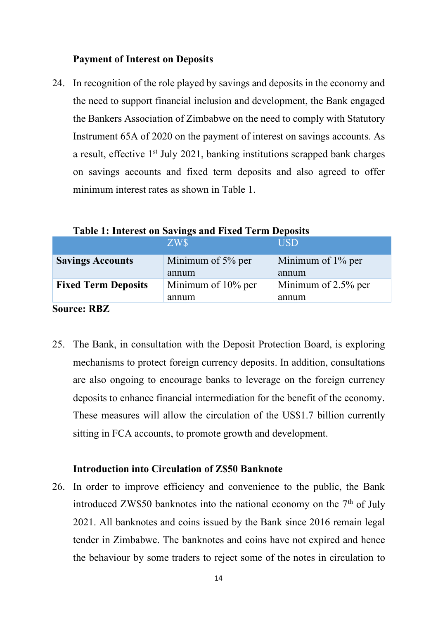# **Payment of Interest on Deposits**

24. In recognition of the role played by savings and deposits in the economy and the need to support financial inclusion and development, the Bank engaged the Bankers Association of Zimbabwe on the need to comply with Statutory Instrument 65A of 2020 on the payment of interest on savings accounts. As a result, effective 1<sup>st</sup> July 2021, banking institutions scrapped bank charges on savings accounts and fixed term deposits and also agreed to offer minimum interest rates as shown in Table 1.

|                            | ZW\$               | <b>USD</b>          |
|----------------------------|--------------------|---------------------|
| <b>Savings Accounts</b>    | Minimum of 5% per  | Minimum of 1% per   |
|                            | annum              | annum               |
| <b>Fixed Term Deposits</b> | Minimum of 10% per | Minimum of 2.5% per |
|                            | annum              | annum               |
| <b>Source: RBZ</b>         |                    |                     |

**Table 1: Interest on Savings and Fixed Term Deposits**

- 25. The Bank, in consultation with the Deposit Protection Board, is exploring
	- mechanisms to protect foreign currency deposits. In addition, consultations are also ongoing to encourage banks to leverage on the foreign currency deposits to enhance financial intermediation for the benefit of the economy. These measures will allow the circulation of the US\$1.7 billion currently sitting in FCA accounts, to promote growth and development.

## **Introduction into Circulation of Z\$50 Banknote**

26. In order to improve efficiency and convenience to the public, the Bank introduced ZW\$50 banknotes into the national economy on the  $7<sup>th</sup>$  of July 2021. All banknotes and coins issued by the Bank since 2016 remain legal tender in Zimbabwe. The banknotes and coins have not expired and hence the behaviour by some traders to reject some of the notes in circulation to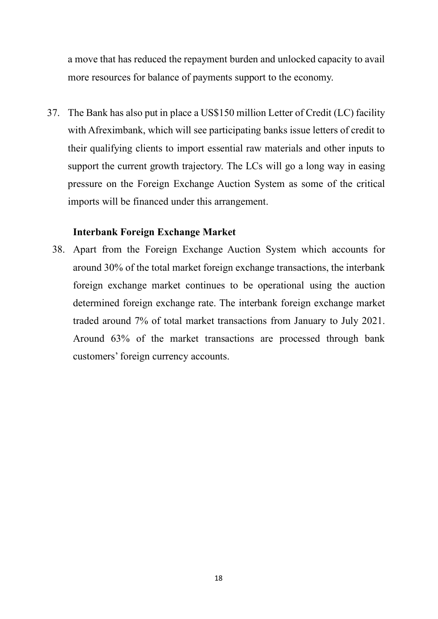a move that has reduced the repayment burden and unlocked capacity to avail more resources for balance of payments support to the economy.

37. The Bank has also put in place a US\$150 million Letter of Credit (LC) facility with Afreximbank, which will see participating banks issue letters of credit to their qualifying clients to import essential raw materials and other inputs to support the current growth trajectory. The LCs will go a long way in easing pressure on the Foreign Exchange Auction System as some of the critical imports will be financed under this arrangement.

### **Interbank Foreign Exchange Market**

38. Apart from the Foreign Exchange Auction System which accounts for around 30% of the total market foreign exchange transactions, the interbank foreign exchange market continues to be operational using the auction determined foreign exchange rate. The interbank foreign exchange market traded around 7% of total market transactions from January to July 2021. Around 63% of the market transactions are processed through bank customers' foreign currency accounts.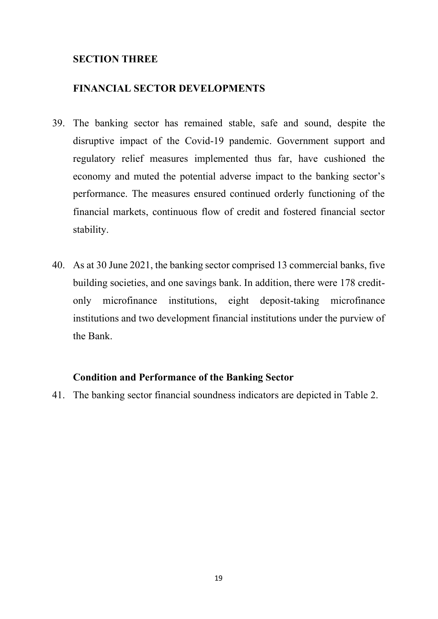# **SECTION THREE**

# **FINANCIAL SECTOR DEVELOPMENTS**

- 39. The banking sector has remained stable, safe and sound, despite the disruptive impact of the Covid-19 pandemic. Government support and regulatory relief measures implemented thus far, have cushioned the economy and muted the potential adverse impact to the banking sector's performance. The measures ensured continued orderly functioning of the financial markets, continuous flow of credit and fostered financial sector stability.
- 40. As at 30 June 2021, the banking sector comprised 13 commercial banks, five building societies, and one savings bank. In addition, there were 178 creditonly microfinance institutions, eight deposit-taking microfinance institutions and two development financial institutions under the purview of the Bank.

# **Condition and Performance of the Banking Sector**

41. The banking sector financial soundness indicators are depicted in Table 2.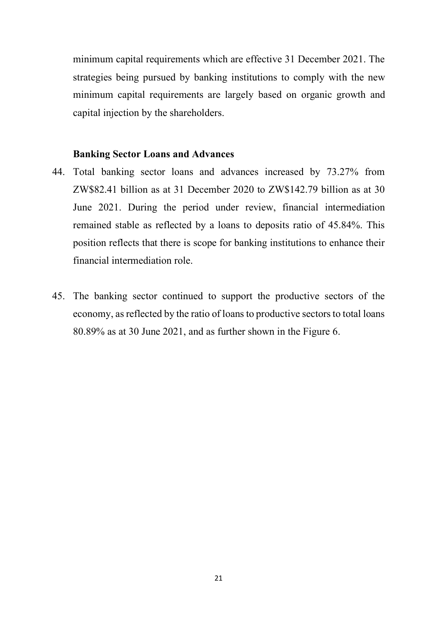minimum capital requirements which are effective 31 December 2021. The strategies being pursued by banking institutions to comply with the new minimum capital requirements are largely based on organic growth and capital injection by the shareholders.

#### **Banking Sector Loans and Advances**

- 44. Total banking sector loans and advances increased by 73.27% from ZW\$82.41 billion as at 31 December 2020 to ZW\$142.79 billion as at 30 June 2021. During the period under review, financial intermediation remained stable as reflected by a loans to deposits ratio of 45.84%. This position reflects that there is scope for banking institutions to enhance their financial intermediation role.
- 45. The banking sector continued to support the productive sectors of the economy, as reflected by the ratio of loans to productive sectors to total loans 80.89% as at 30 June 2021, and as further shown in the Figure 6.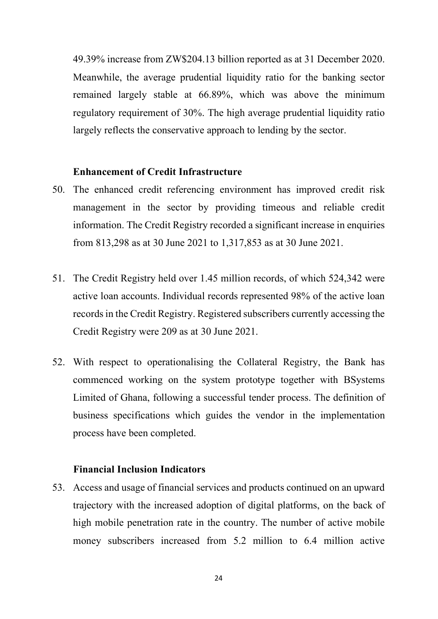49.39% increase from ZW\$204.13 billion reported as at 31 December 2020. Meanwhile, the average prudential liquidity ratio for the banking sector remained largely stable at 66.89%, which was above the minimum regulatory requirement of 30%. The high average prudential liquidity ratio largely reflects the conservative approach to lending by the sector.

#### **Enhancement of Credit Infrastructure**

- 50. The enhanced credit referencing environment has improved credit risk management in the sector by providing timeous and reliable credit information. The Credit Registry recorded a significant increase in enquiries from 813,298 as at 30 June 2021 to 1,317,853 as at 30 June 2021.
- 51. The Credit Registry held over 1.45 million records, of which 524,342 were active loan accounts. Individual records represented 98% of the active loan records in the Credit Registry. Registered subscribers currently accessing the Credit Registry were 209 as at 30 June 2021.
- 52. With respect to operationalising the Collateral Registry, the Bank has commenced working on the system prototype together with BSystems Limited of Ghana, following a successful tender process. The definition of business specifications which guides the vendor in the implementation process have been completed.

## **Financial Inclusion Indicators**

53. Access and usage of financial services and products continued on an upward trajectory with the increased adoption of digital platforms, on the back of high mobile penetration rate in the country. The number of active mobile money subscribers increased from 5.2 million to 6.4 million active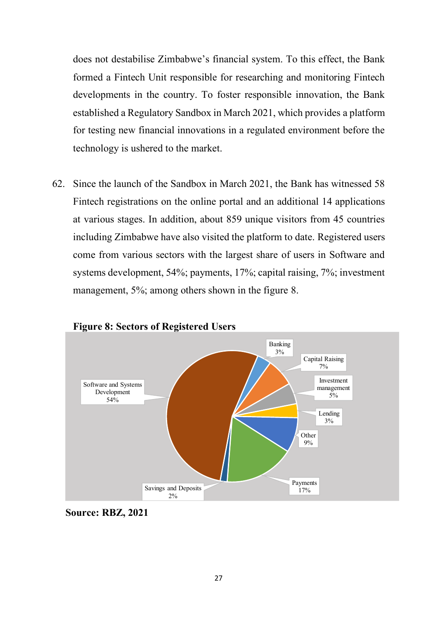does not destabilise Zimbabwe's financial system. To this effect, the Bank formed a Fintech Unit responsible for researching and monitoring Fintech developments in the country. To foster responsible innovation, the Bank established a Regulatory Sandbox in March 2021, which provides a platform for testing new financial innovations in a regulated environment before the technology is ushered to the market.

62. Since the launch of the Sandbox in March 2021, the Bank has witnessed 58 Fintech registrations on the online portal and an additional 14 applications at various stages. In addition, about 859 unique visitors from 45 countries including Zimbabwe have also visited the platform to date. Registered users come from various sectors with the largest share of users in Software and systems development, 54%; payments, 17%; capital raising, 7%; investment management, 5%; among others shown in the figure 8.



**Figure 8: Sectors of Registered Users**

**Source: RBZ, 2021**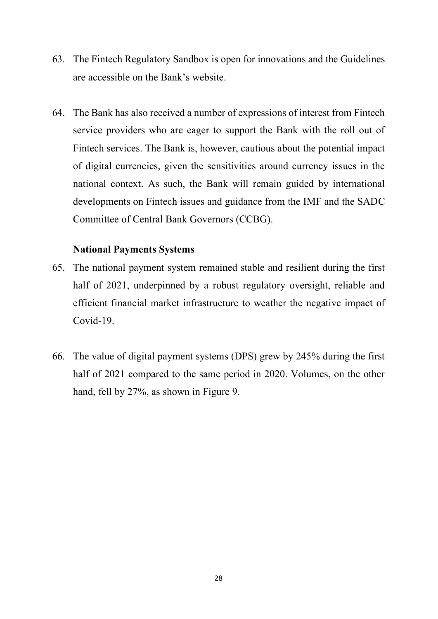- 63. The Fintech Regulatory Sandbox is open for innovations and the Guidelines are accessible on the Bank's website.
- 64. The Bank has also received a number of expressions of interest from Fintech service providers who are eager to support the Bank with the roll out of Fintech services. The Bank is, however, cautious about the potential impact of digital currencies, given the sensitivities around currency issues in the national context. As such, the Bank will remain guided by international developments on Fintech issues and guidance from the IMF and the SADC Committee of Central Bank Governors (CCBG).

#### **National Payments Systems**

- 65. The national payment system remained stable and resilient during the first half of 2021, underpinned by a robust regulatory oversight, reliable and efficient financial market infrastructure to weather the negative impact of Covid-19.
- 66. The value of digital payment systems (DPS) grew by 245% during the first half of 2021 compared to the same period in 2020. Volumes, on the other hand, fell by 27%, as shown in Figure 9.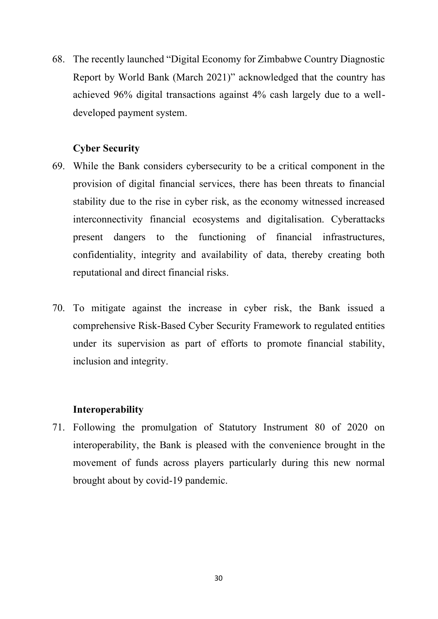68. The recently launched "Digital Economy for Zimbabwe Country Diagnostic Report by World Bank (March 2021)" acknowledged that the country has achieved 96% digital transactions against 4% cash largely due to a welldeveloped payment system.

# **Cyber Security**

- 69. While the Bank considers cybersecurity to be a critical component in the provision of digital financial services, there has been threats to financial stability due to the rise in cyber risk, as the economy witnessed increased interconnectivity financial ecosystems and digitalisation. Cyberattacks present dangers to the functioning of financial infrastructures, confidentiality, integrity and availability of data, thereby creating both reputational and direct financial risks.
- 70. To mitigate against the increase in cyber risk, the Bank issued a comprehensive Risk-Based Cyber Security Framework to regulated entities under its supervision as part of efforts to promote financial stability, inclusion and integrity.

## **Interoperability**

71. Following the promulgation of Statutory Instrument 80 of 2020 on interoperability, the Bank is pleased with the convenience brought in the movement of funds across players particularly during this new normal brought about by covid-19 pandemic.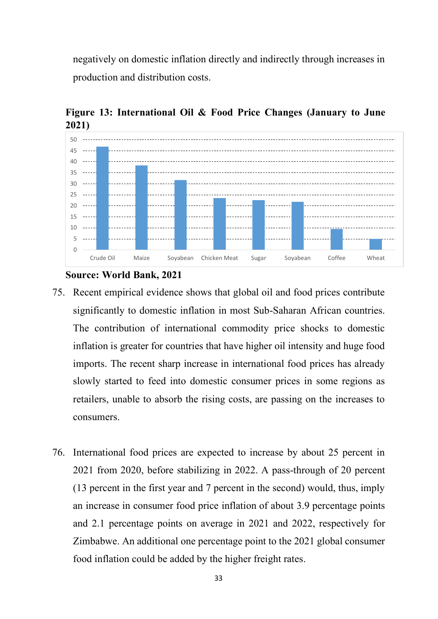negatively on domestic inflation directly and indirectly through increases in production and distribution costs.



**Figure 13: International Oil & Food Price Changes (January to June 2021)** 

#### **Source: World Bank, 2021**

- 75. Recent empirical evidence shows that global oil and food prices contribute significantly to domestic inflation in most Sub-Saharan African countries. The contribution of international commodity price shocks to domestic inflation is greater for countries that have higher oil intensity and huge food imports. The recent sharp increase in international food prices has already slowly started to feed into domestic consumer prices in some regions as retailers, unable to absorb the rising costs, are passing on the increases to consumers.
- 76. International food prices are expected to increase by about 25 percent in 2021 from 2020, before stabilizing in 2022. A pass-through of 20 percent (13 percent in the first year and 7 percent in the second) would, thus, imply an increase in consumer food price inflation of about 3.9 percentage points and 2.1 percentage points on average in 2021 and 2022, respectively for Zimbabwe. An additional one percentage point to the 2021 global consumer food inflation could be added by the higher freight rates.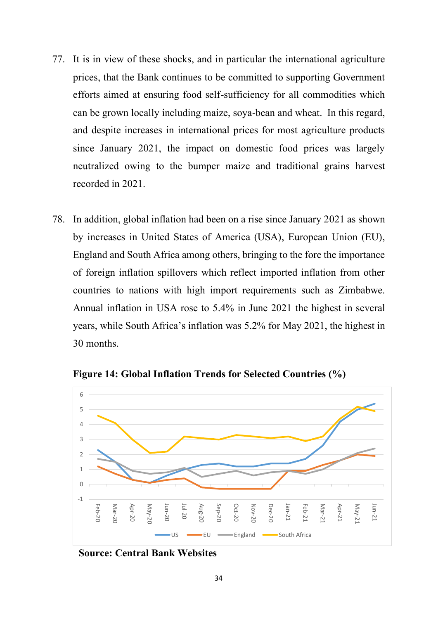- 77. It is in view of these shocks, and in particular the international agriculture prices, that the Bank continues to be committed to supporting Government efforts aimed at ensuring food self-sufficiency for all commodities which can be grown locally including maize, soya-bean and wheat. In this regard, and despite increases in international prices for most agriculture products since January 2021, the impact on domestic food prices was largely neutralized owing to the bumper maize and traditional grains harvest recorded in 2021.
- 78. In addition, global inflation had been on a rise since January 2021 as shown by increases in United States of America (USA), European Union (EU), England and South Africa among others, bringing to the fore the importance of foreign inflation spillovers which reflect imported inflation from other countries to nations with high import requirements such as Zimbabwe. Annual inflation in USA rose to 5.4% in June 2021 the highest in several years, while South Africa's inflation was 5.2% for May 2021, the highest in 30 months.



**Figure 14: Global Inflation Trends for Selected Countries (%)**

**Source: Central Bank Websites**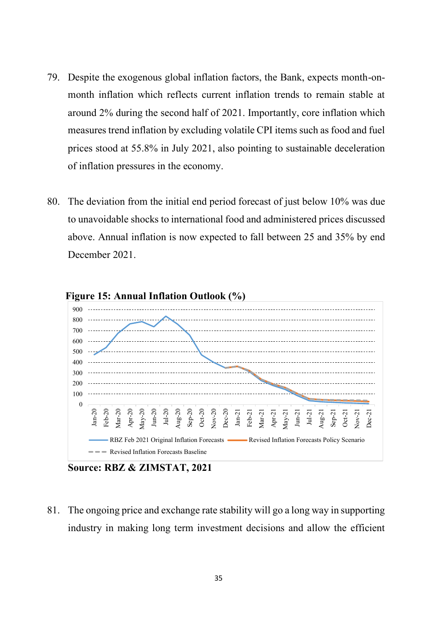- 79. Despite the exogenous global inflation factors, the Bank, expects month-onmonth inflation which reflects current inflation trends to remain stable at around 2% during the second half of 2021. Importantly, core inflation which measures trend inflation by excluding volatile CPI items such as food and fuel prices stood at 55.8% in July 2021, also pointing to sustainable deceleration of inflation pressures in the economy.
- 80. The deviation from the initial end period forecast of just below 10% was due to unavoidable shocks to international food and administered prices discussed above. Annual inflation is now expected to fall between 25 and 35% by end December 2021.



**Source: RBZ & ZIMSTAT, 2021**

81. The ongoing price and exchange rate stability will go a long way in supporting industry in making long term investment decisions and allow the efficient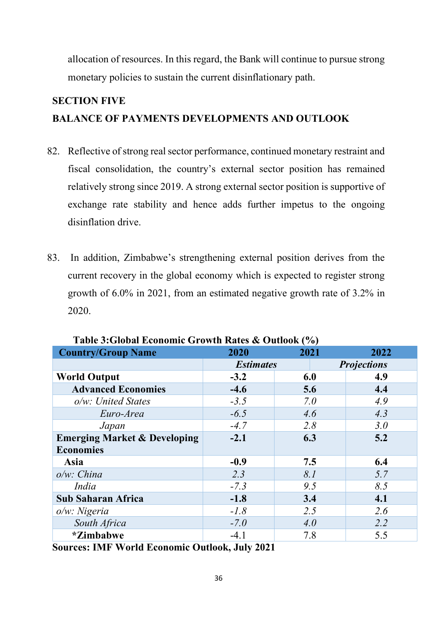allocation of resources. In this regard, the Bank will continue to pursue strong monetary policies to sustain the current disinflationary path.

# **SECTION FIVE BALANCE OF PAYMENTS DEVELOPMENTS AND OUTLOOK**

- 82. Reflective of strong real sector performance, continued monetary restraint and fiscal consolidation, the country's external sector position has remained relatively strong since 2019. A strong external sector position is supportive of exchange rate stability and hence adds further impetus to the ongoing disinflation drive.
- 83. In addition, Zimbabwe's strengthening external position derives from the current recovery in the global economy which is expected to register strong growth of 6.0% in 2021, from an estimated negative growth rate of 3.2% in 2020.

| <b>Country/Group Name</b>               | 2020             | 2021 | 2022               |  |
|-----------------------------------------|------------------|------|--------------------|--|
|                                         | <b>Estimates</b> |      | <b>Projections</b> |  |
| <b>World Output</b>                     | $-3.2$           | 6.0  | 4.9                |  |
| <b>Advanced Economies</b>               | $-4.6$           | 5.6  | 4.4                |  |
| $o/w$ : United States                   | $-3.5$           | 7.0  | 4.9                |  |
| Euro-Area                               | $-6.5$           | 4.6  | 4.3                |  |
| Japan                                   | $-4.7$           | 2.8  | 3.0                |  |
| <b>Emerging Market &amp; Developing</b> | $-2.1$           | 6.3  | 5.2                |  |
| <b>Economies</b>                        |                  |      |                    |  |
| Asia                                    | $-0.9$           | 7.5  | 6.4                |  |
| $o/w$ : China                           | 2.3              | 8.1  | 5.7                |  |
| India                                   | $-7.3$           | 9.5  | 8.5                |  |
| <b>Sub Saharan Africa</b>               | $-1.8$           | 3.4  | 4.1                |  |
| $o/w$ : Nigeria                         | $-1.8$           | 2.5  | 2.6                |  |
| South Africa                            | $-7.0$           | 4.0  | 2.2                |  |
| <i>*Zimbabwe</i>                        | $-4.1$           | 7.8  | 5.5                |  |

**Table 3:Global Economic Growth Rates & Outlook (%)** 

**Sources: IMF World Economic Outlook, July 2021**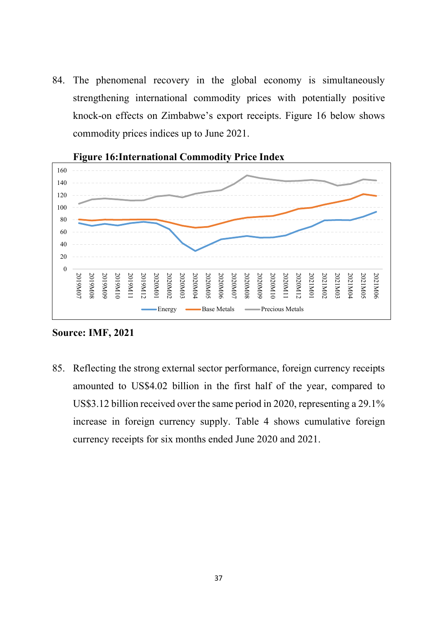84. The phenomenal recovery in the global economy is simultaneously strengthening international commodity prices with potentially positive knock-on effects on Zimbabwe's export receipts. Figure 16 below shows commodity prices indices up to June 2021.



# **Figure 16:International Commodity Price Index**

**Source: IMF, 2021** 

85. Reflecting the strong external sector performance, foreign currency receipts amounted to US\$4.02 billion in the first half of the year, compared to US\$3.12 billion received over the same period in 2020, representing a 29.1% increase in foreign currency supply. Table 4 shows cumulative foreign currency receipts for six months ended June 2020 and 2021.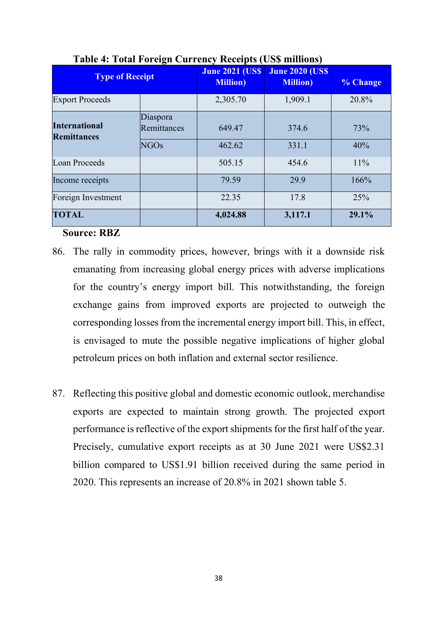| <b>Type of Receipt</b>                     |                                        | <b>June 2021 (US\$)</b><br><b>Million</b> ) | <b>June 2020 (US\$)</b><br><b>Million</b> ) | % Change   |
|--------------------------------------------|----------------------------------------|---------------------------------------------|---------------------------------------------|------------|
| <b>Export Proceeds</b>                     |                                        | 2,305.70                                    | 1,909.1                                     | 20.8%      |
| <b>International</b><br><b>Remittances</b> | Diaspora<br>Remittances<br><b>NGOs</b> | 649.47<br>462.62                            | 374.6<br>331.1                              | 73%<br>40% |
| <b>Loan Proceeds</b>                       |                                        | 505.15                                      | 454.6                                       | 11%        |
| Income receipts                            |                                        | 79.59                                       | 29.9                                        | 166%       |
| Foreign Investment                         |                                        | 22.35                                       | 17.8                                        | 25%        |
| <b>TOTAL</b>                               |                                        | 4,024.88                                    | 3,117.1                                     | 29.1%      |

# **Table 4: Total Foreign Currency Receipts (US\$ millions)**

## **Source: RBZ**

- 86. The rally in commodity prices, however, brings with it a downside risk emanating from increasing global energy prices with adverse implications for the country's energy import bill. This notwithstanding, the foreign exchange gains from improved exports are projected to outweigh the corresponding losses from the incremental energy import bill. This, in effect, is envisaged to mute the possible negative implications of higher global petroleum prices on both inflation and external sector resilience.
- 87. Reflecting this positive global and domestic economic outlook, merchandise exports are expected to maintain strong growth. The projected export performance is reflective of the export shipments for the first half of the year. Precisely, cumulative export receipts as at 30 June 2021 were US\$2.31 billion compared to US\$1.91 billion received during the same period in 2020. This represents an increase of 20.8% in 2021 shown table 5.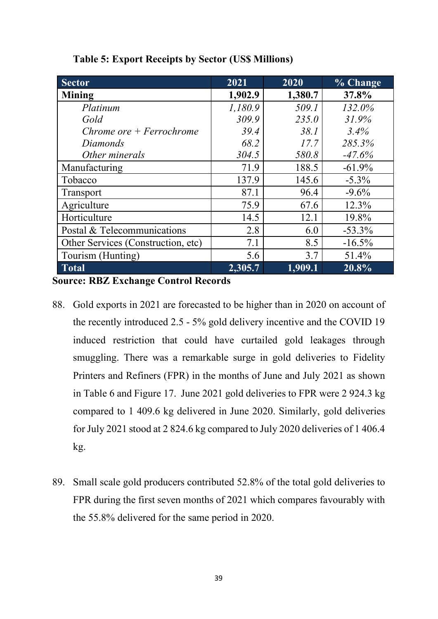| <b>Sector</b>                      | 2021    | 2020    | % Change |  |
|------------------------------------|---------|---------|----------|--|
| <b>Mining</b>                      | 1,902.9 | 1,380.7 | 37.8%    |  |
| Platinum                           | 1,180.9 | 509.1   | 132.0%   |  |
| Gold                               | 309.9   | 235.0   | 31.9%    |  |
| Chrome ore $+$ Ferrochrome         | 39.4    | 38.1    | 3.4%     |  |
| Diamonds                           | 68.2    | 17.7    | 285.3%   |  |
| Other minerals                     | 304.5   | 580.8   | $-47.6%$ |  |
| Manufacturing                      | 71.9    | 188.5   | $-61.9%$ |  |
| Tobacco                            | 137.9   | 145.6   | $-5.3\%$ |  |
| Transport                          | 87.1    | 96.4    | $-9.6%$  |  |
| Agriculture                        | 75.9    | 67.6    | 12.3%    |  |
| Horticulture                       | 14.5    | 12.1    | 19.8%    |  |
| Postal & Telecommunications        | 2.8     | 6.0     | $-53.3%$ |  |
| Other Services (Construction, etc) | 7.1     | 8.5     | $-16.5%$ |  |
| Tourism (Hunting)                  | 5.6     | 3.7     | 51.4%    |  |
| <b>Total</b>                       | 2,305.7 | 1,909.1 | 20.8%    |  |

**Table 5: Export Receipts by Sector (US\$ Millions)**

**Source: RBZ Exchange Control Records** 

- 88. Gold exports in 2021 are forecasted to be higher than in 2020 on account of the recently introduced 2.5 - 5% gold delivery incentive and the COVID 19 induced restriction that could have curtailed gold leakages through smuggling. There was a remarkable surge in gold deliveries to Fidelity Printers and Refiners (FPR) in the months of June and July 2021 as shown in Table 6 and Figure 17. June 2021 gold deliveries to FPR were 2 924.3 kg compared to 1 409.6 kg delivered in June 2020. Similarly, gold deliveries for July 2021 stood at 2 824.6 kg compared to July 2020 deliveries of 1 406.4 kg.
- 89. Small scale gold producers contributed 52.8% of the total gold deliveries to FPR during the first seven months of 2021 which compares favourably with the 55.8% delivered for the same period in 2020.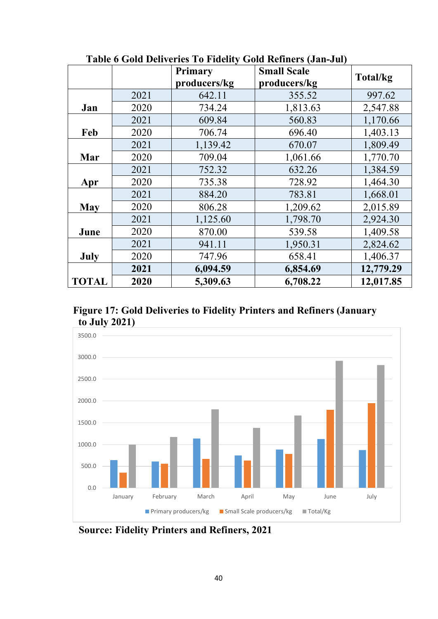|                       |                | <b>Primary</b> | <b>Small Scale</b> |           |  |
|-----------------------|----------------|----------------|--------------------|-----------|--|
|                       |                | producers/kg   | producers/kg       | Total/kg  |  |
|                       | 2021           | 642.11         | 355.52             | 997.62    |  |
| Jan                   | 2020           | 734.24         | 1,813.63           | 2,547.88  |  |
|                       | 2021           | 609.84         | 560.83             | 1,170.66  |  |
| Feb                   | 2020           | 706.74         | 696.40             | 1,403.13  |  |
|                       | 2021           | 1,139.42       | 670.07             | 1,809.49  |  |
| Mar                   | 2020           | 709.04         | 1,061.66           | 1,770.70  |  |
|                       | 2021           | 752.32         | 632.26             | 1,384.59  |  |
| 735.38<br>2020<br>Apr |                |                | 728.92             | 1,464.30  |  |
|                       | 2021           | 884.20         | 783.81             | 1,668.01  |  |
| <b>May</b>            | 2020           | 806.28         | 1,209.62           | 2,015.89  |  |
|                       | 2021           | 1,125.60       | 1,798.70           | 2,924.30  |  |
| June                  | 2020<br>870.00 |                | 539.58             | 1,409.58  |  |
|                       | 2021           | 941.11         | 1,950.31           | 2,824.62  |  |
| July                  | 2020           | 747.96         | 658.41             | 1,406.37  |  |
|                       | 2021           | 6,094.59       | 6,854.69           | 12,779.29 |  |
| <b>TOTAL</b>          | 2020           | 5,309.63       | 6,708.22           | 12,017.85 |  |

 **Table 6 Gold Deliveries To Fidelity Gold Refiners (Jan-Jul)** 

**Figure 17: Gold Deliveries to Fidelity Printers and Refiners (January to July 2021)** 



**Source: Fidelity Printers and Refiners, 2021**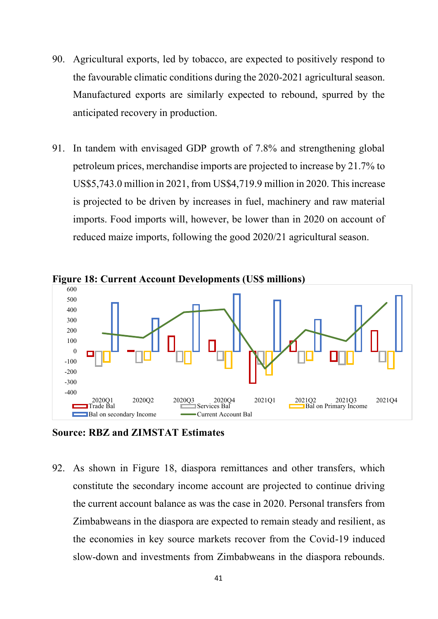- 90. Agricultural exports, led by tobacco, are expected to positively respond to the favourable climatic conditions during the 2020-2021 agricultural season. Manufactured exports are similarly expected to rebound, spurred by the anticipated recovery in production.
- 91. In tandem with envisaged GDP growth of 7.8% and strengthening global petroleum prices, merchandise imports are projected to increase by 21.7% to US\$5,743.0 million in 2021, from US\$4,719.9 million in 2020. This increase is projected to be driven by increases in fuel, machinery and raw material imports. Food imports will, however, be lower than in 2020 on account of reduced maize imports, following the good 2020/21 agricultural season.



**Figure 18: Current Account Developments (US\$ millions)** 

**Source: RBZ and ZIMSTAT Estimates** 

92. As shown in Figure 18, diaspora remittances and other transfers, which constitute the secondary income account are projected to continue driving the current account balance as was the case in 2020. Personal transfers from Zimbabweans in the diaspora are expected to remain steady and resilient, as the economies in key source markets recover from the Covid-19 induced slow-down and investments from Zimbabweans in the diaspora rebounds.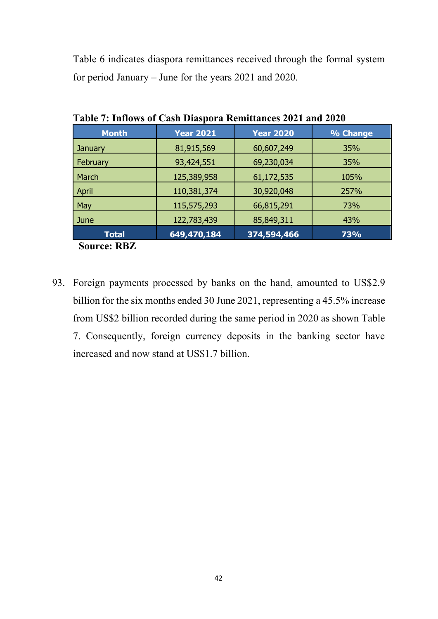Table 6 indicates diaspora remittances received through the formal system for period January – June for the years 2021 and 2020.

|                       | $1000$ $\mu$ introved to cash Diasport Inchineality's $2021$ and $2020$ |                  |          |  |  |  |  |
|-----------------------|-------------------------------------------------------------------------|------------------|----------|--|--|--|--|
| <b>Month</b>          | <b>Year 2021</b>                                                        | <b>Year 2020</b> | % Change |  |  |  |  |
| <b>January</b>        | 81,915,569                                                              | 60,607,249       | 35%      |  |  |  |  |
| February              | 93,424,551                                                              | 69,230,034       | 35%      |  |  |  |  |
| March                 | 125,389,958                                                             | 61,172,535       | 105%     |  |  |  |  |
| April                 | 110,381,374                                                             | 30,920,048       | 257%     |  |  |  |  |
| May                   | 115,575,293                                                             | 66,815,291       | 73%      |  |  |  |  |
| June                  | 122,783,439                                                             | 85,849,311       | 43%      |  |  |  |  |
| <b>Total</b>          | 649,470,184                                                             | 374,594,466      | 73%      |  |  |  |  |
| $\sim$<br>nn <i>n</i> |                                                                         |                  |          |  |  |  |  |

**Table 7: Inflows of Cash Diaspora Remittances 2021 and 2020**

**Source: RBZ** 

93. Foreign payments processed by banks on the hand, amounted to US\$2.9 billion for the six months ended 30 June 2021, representing a 45.5% increase from US\$2 billion recorded during the same period in 2020 as shown Table 7. Consequently, foreign currency deposits in the banking sector have increased and now stand at US\$1.7 billion.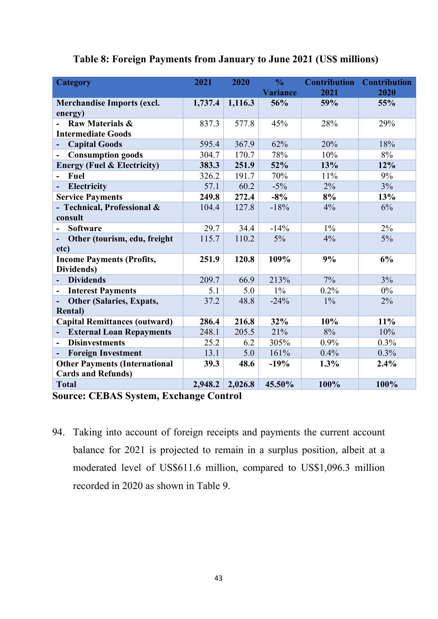| <b>Category</b>                                      | 2021    | 2020    | $\frac{0}{0}$<br><b>Variance</b> | <b>Contribution</b><br>2021 | <b>Contribution</b><br>2020 |
|------------------------------------------------------|---------|---------|----------------------------------|-----------------------------|-----------------------------|
| <b>Merchandise Imports (excl.</b>                    | 1,737.4 | 1,116.3 | 56%                              | 59%                         | 55%                         |
| energy)                                              |         |         |                                  |                             |                             |
| <b>Raw Materials &amp;</b>                           | 837.3   | 577.8   | 45%                              | 28%                         | 29%                         |
| <b>Intermediate Goods</b>                            |         |         |                                  |                             |                             |
| <b>Capital Goods</b>                                 | 595.4   | 367.9   | 62%                              | 20%                         | 18%                         |
| <b>Consumption goods</b>                             | 304.7   | 170.7   | 78%                              | 10%                         | 8%                          |
| <b>Energy (Fuel &amp; Electricity)</b>               | 383.3   | 251.9   | 52%                              | 13%                         | 12%                         |
| <b>Fuel</b>                                          | 326.2   | 191.7   | 70%                              | 11%                         | 9%                          |
| <b>Electricity</b>                                   | 57.1    | 60.2    | $-5\%$                           | 2%                          | 3%                          |
| <b>Service Payments</b>                              | 249.8   | 272.4   | $-8%$                            | 8%                          | 13%                         |
| - Technical, Professional &                          | 104.4   | 127.8   | $-18%$                           | 4%                          | 6%                          |
| consult                                              |         |         |                                  |                             |                             |
| <b>Software</b><br>$\overline{\phantom{0}}$          | 29.7    | 34.4    | $-14%$                           | $1\%$                       | 2%                          |
| Other (tourism, edu, freight                         | 115.7   | 110.2   | $5\%$                            | 4%                          | $5\%$                       |
| etc)                                                 |         |         |                                  |                             |                             |
| <b>Income Payments (Profits,</b>                     | 251.9   | 120.8   | 109%                             | 9%                          | 6%                          |
| Dividends)                                           |         |         |                                  |                             |                             |
| <b>Dividends</b>                                     | 209.7   | 66.9    | 213%                             | 7%                          | 3%                          |
| <b>Interest Payments</b><br>$\overline{\phantom{a}}$ | 5.1     | 5.0     | $1\%$                            | 0.2%                        | $0\%$                       |
| <b>Other (Salaries, Expats,</b>                      | 37.2    | 48.8    | $-24%$                           | $1\%$                       | 2%                          |
| <b>Rental</b> )                                      |         |         |                                  |                             |                             |
| <b>Capital Remittances (outward)</b>                 | 286.4   | 216.8   | 32%                              | 10%                         | 11%                         |
| <b>External Loan Repayments</b>                      | 248.1   | 205.5   | 21%                              | 8%                          | 10%                         |
| <b>Disinvestments</b>                                | 25.2    | 6.2     | 305%                             | $0.9\%$                     | 0.3%                        |
| <b>Foreign Investment</b>                            | 13.1    | 5.0     | 161%                             | 0.4%                        | 0.3%                        |
| <b>Other Payments (International</b>                 | 39.3    | 48.6    | $-19%$                           | 1.3%                        | 2.4%                        |
| <b>Cards and Refunds)</b>                            |         |         |                                  |                             |                             |
| <b>Total</b>                                         | 2,948.2 | 2,026.8 | 45.50%                           | 100%                        | 100%                        |

# **Table 8: Foreign Payments from January to June 2021 (US\$ millions)**

**Source: CEBAS System, Exchange Control** 

94. Taking into account of foreign receipts and payments the current account balance for 2021 is projected to remain in a surplus position, albeit at a moderated level of US\$611.6 million, compared to US\$1,096.3 million recorded in 2020 as shown in Table 9.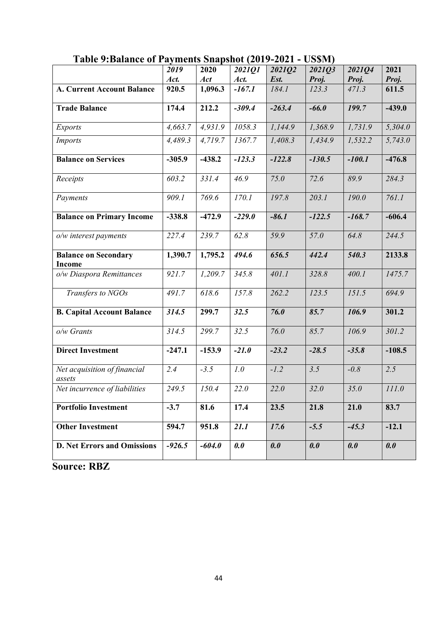|                                              | 2019     | 2020     | $\sim$ $\cdots$ $\sim$ $\sim$ $\sim$ $\sim$ $\sim$ $\sim$<br>2021Q1 | 2021Q2   | <b>○ ∾ ↔ ↔ ▪ /</b><br>2021Q3 | 202104   | 2021     |
|----------------------------------------------|----------|----------|---------------------------------------------------------------------|----------|------------------------------|----------|----------|
|                                              | Act.     | Act      | Act.                                                                | Est.     | Proj.                        | Proj.    | Proj.    |
| <b>A. Current Account Balance</b>            | 920.5    | 1,096.3  | $-167.1$                                                            | 184.1    | 123.3                        | 471.3    | 611.5    |
| <b>Trade Balance</b>                         | 174.4    | 212.2    | $-309.4$                                                            | $-263.4$ | $-66.0$                      | 199.7    | $-439.0$ |
| <b>Exports</b>                               | 4,663.7  | 4,931.9  | 1058.3                                                              | 1,144.9  | 1,368.9                      | 1,731.9  | 5,304.0  |
| <b>Imports</b>                               | 4,489.3  | 4,719.7  | 1367.7                                                              | 1,408.3  | 1,434.9                      | 1,532.2  | 5,743.0  |
| <b>Balance on Services</b>                   | $-305.9$ | $-438.2$ | $-123.3$                                                            | $-122.8$ | $-130.5$                     | $-100.1$ | $-476.8$ |
| Receipts                                     | 603.2    | 331.4    | 46.9                                                                | 75.0     | 72.6                         | 89.9     | 284.3    |
| Payments                                     | 909.1    | 769.6    | 170.1                                                               | 197.8    | 203.1                        | 190.0    | 761.1    |
| <b>Balance on Primary Income</b>             | $-338.8$ | $-472.9$ | $-229.0$                                                            | $-86.1$  | $-122.5$                     | $-168.7$ | $-606.4$ |
| o/w interest payments                        | 227.4    | 239.7    | 62.8                                                                | 59.9     | 57.0                         | 64.8     | 244.5    |
| <b>Balance on Secondary</b><br><b>Income</b> | 1,390.7  | 1,795.2  | 494.6                                                               | 656.5    | 442.4                        | 540.3    | 2133.8   |
| o/w Diaspora Remittances                     | 921.7    | 1,209.7  | 345.8                                                               | 401.1    | 328.8                        | 400.1    | 1475.7   |
| Transfers to NGOs                            | 491.7    | 618.6    | 157.8                                                               | 262.2    | 123.5                        | 151.5    | 694.9    |
| <b>B. Capital Account Balance</b>            | 314.5    | 299.7    | $\overline{32.5}$                                                   | 76.0     | 85.7                         | 106.9    | 301.2    |
| $o/w$ Grants                                 | 314.5    | 299.7    | 32.5                                                                | 76.0     | 85.7                         | 106.9    | 301.2    |
| <b>Direct Investment</b>                     | $-247.1$ | $-153.9$ | $-21.0$                                                             | $-23.2$  | $-28.5$                      | $-35.8$  | $-108.5$ |
| Net acquisition of financial<br>assets       | 2.4      | $-3.5$   | 1.0                                                                 | $-1.2$   | 3.5                          | $-0.8$   | 2.5      |
| Net incurrence of liabilities                | 249.5    | 150.4    | 22.0                                                                | 22.0     | 32.0                         | 35.0     | 111.0    |
| <b>Portfolio Investment</b>                  | $-3.7$   | 81.6     | 17.4                                                                | 23.5     | 21.8                         | 21.0     | 83.7     |
| <b>Other Investment</b>                      | 594.7    | 951.8    | 21.1                                                                | 17.6     | $-5.5$                       | $-45.3$  | $-12.1$  |
| <b>D. Net Errors and Omissions</b>           | $-926.5$ | $-604.0$ | 0.0                                                                 | 0.0      | 0.0                          | 0.0      | 0.0      |

**Table 9:Balance of Payments Snapshot (2019-2021 - US\$M)** 

**Source: RBZ**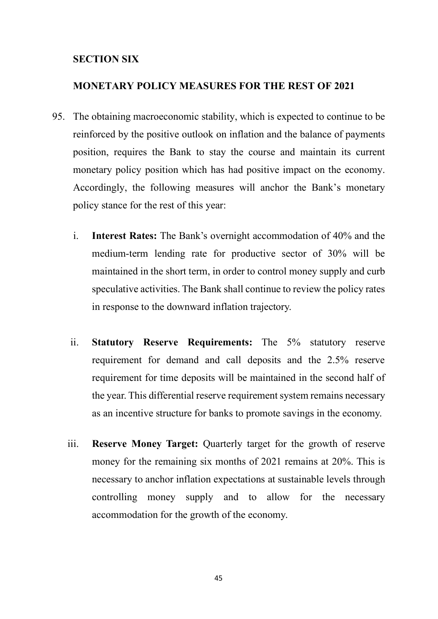# **SECTION SIX**

## **MONETARY POLICY MEASURES FOR THE REST OF 2021**

- 95. The obtaining macroeconomic stability, which is expected to continue to be reinforced by the positive outlook on inflation and the balance of payments position, requires the Bank to stay the course and maintain its current monetary policy position which has had positive impact on the economy. Accordingly, the following measures will anchor the Bank's monetary policy stance for the rest of this year:
	- i. **Interest Rates:** The Bank's overnight accommodation of 40% and the medium-term lending rate for productive sector of 30% will be maintained in the short term, in order to control money supply and curb speculative activities. The Bank shall continue to review the policy rates in response to the downward inflation trajectory.
	- ii. **Statutory Reserve Requirements:** The 5% statutory reserve requirement for demand and call deposits and the 2.5% reserve requirement for time deposits will be maintained in the second half of the year. This differential reserve requirement system remains necessary as an incentive structure for banks to promote savings in the economy.
	- iii. **Reserve Money Target:** Quarterly target for the growth of reserve money for the remaining six months of 2021 remains at 20%. This is necessary to anchor inflation expectations at sustainable levels through controlling money supply and to allow for the necessary accommodation for the growth of the economy.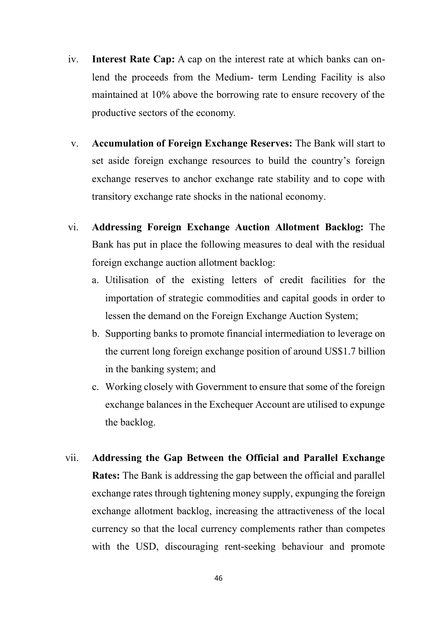- iv. **Interest Rate Cap:** A cap on the interest rate at which banks can onlend the proceeds from the Medium- term Lending Facility is also maintained at 10% above the borrowing rate to ensure recovery of the productive sectors of the economy.
- v. **Accumulation of Foreign Exchange Reserves:** The Bank will start to set aside foreign exchange resources to build the country's foreign exchange reserves to anchor exchange rate stability and to cope with transitory exchange rate shocks in the national economy.
- vi. **Addressing Foreign Exchange Auction Allotment Backlog:** The Bank has put in place the following measures to deal with the residual foreign exchange auction allotment backlog:
	- a. Utilisation of the existing letters of credit facilities for the importation of strategic commodities and capital goods in order to lessen the demand on the Foreign Exchange Auction System;
	- b. Supporting banks to promote financial intermediation to leverage on the current long foreign exchange position of around US\$1.7 billion in the banking system; and
	- c. Working closely with Government to ensure that some of the foreign exchange balances in the Exchequer Account are utilised to expunge the backlog.
- vii. **Addressing the Gap Between the Official and Parallel Exchange Rates:** The Bank is addressing the gap between the official and parallel exchange rates through tightening money supply, expunging the foreign exchange allotment backlog, increasing the attractiveness of the local currency so that the local currency complements rather than competes with the USD, discouraging rent-seeking behaviour and promote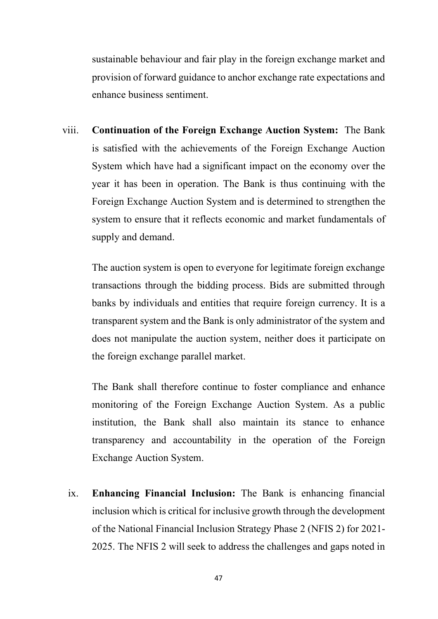sustainable behaviour and fair play in the foreign exchange market and provision of forward guidance to anchor exchange rate expectations and enhance business sentiment.

viii. **Continuation of the Foreign Exchange Auction System:** The Bank is satisfied with the achievements of the Foreign Exchange Auction System which have had a significant impact on the economy over the year it has been in operation. The Bank is thus continuing with the Foreign Exchange Auction System and is determined to strengthen the system to ensure that it reflects economic and market fundamentals of supply and demand.

The auction system is open to everyone for legitimate foreign exchange transactions through the bidding process. Bids are submitted through banks by individuals and entities that require foreign currency. It is a transparent system and the Bank is only administrator of the system and does not manipulate the auction system, neither does it participate on the foreign exchange parallel market.

The Bank shall therefore continue to foster compliance and enhance monitoring of the Foreign Exchange Auction System. As a public institution, the Bank shall also maintain its stance to enhance transparency and accountability in the operation of the Foreign Exchange Auction System.

ix. **Enhancing Financial Inclusion:** The Bank is enhancing financial inclusion which is critical for inclusive growth through the development of the National Financial Inclusion Strategy Phase 2 (NFIS 2) for 2021- 2025. The NFIS 2 will seek to address the challenges and gaps noted in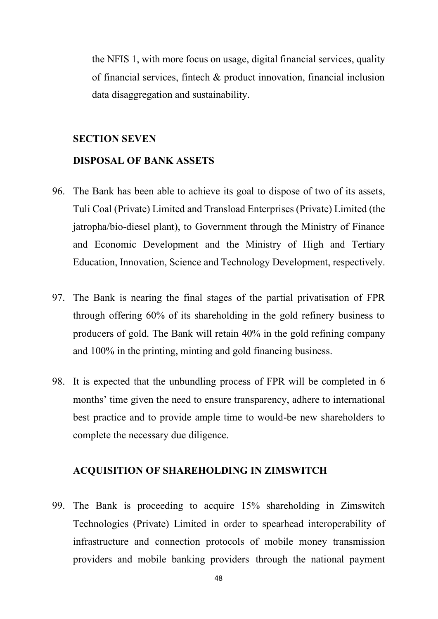the NFIS 1, with more focus on usage, digital financial services, quality of financial services, fintech & product innovation, financial inclusion data disaggregation and sustainability.

# **SECTION SEVEN**

# **DISPOSAL OF BANK ASSETS**

- 96. The Bank has been able to achieve its goal to dispose of two of its assets, Tuli Coal (Private) Limited and Transload Enterprises (Private) Limited (the jatropha/bio-diesel plant), to Government through the Ministry of Finance and Economic Development and the Ministry of High and Tertiary Education, Innovation, Science and Technology Development, respectively.
- 97. The Bank is nearing the final stages of the partial privatisation of FPR through offering 60% of its shareholding in the gold refinery business to producers of gold. The Bank will retain 40% in the gold refining company and 100% in the printing, minting and gold financing business.
- 98. It is expected that the unbundling process of FPR will be completed in 6 months' time given the need to ensure transparency, adhere to international best practice and to provide ample time to would-be new shareholders to complete the necessary due diligence.

## **ACQUISITION OF SHAREHOLDING IN ZIMSWITCH**

99. The Bank is proceeding to acquire 15% shareholding in Zimswitch Technologies (Private) Limited in order to spearhead interoperability of infrastructure and connection protocols of mobile money transmission providers and mobile banking providers through the national payment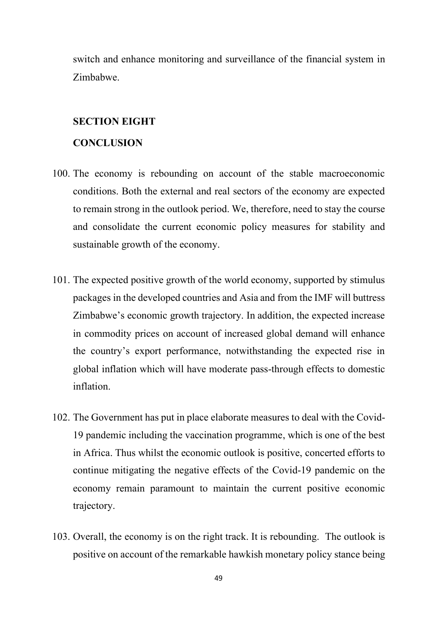switch and enhance monitoring and surveillance of the financial system in Zimbabwe.

#### **SECTION EIGHT**

#### **CONCLUSION**

- 100. The economy is rebounding on account of the stable macroeconomic conditions. Both the external and real sectors of the economy are expected to remain strong in the outlook period. We, therefore, need to stay the course and consolidate the current economic policy measures for stability and sustainable growth of the economy.
- 101. The expected positive growth of the world economy, supported by stimulus packages in the developed countries and Asia and from the IMF will buttress Zimbabwe's economic growth trajectory. In addition, the expected increase in commodity prices on account of increased global demand will enhance the country's export performance, notwithstanding the expected rise in global inflation which will have moderate pass-through effects to domestic inflation.
- 102. The Government has put in place elaborate measures to deal with the Covid-19 pandemic including the vaccination programme, which is one of the best in Africa. Thus whilst the economic outlook is positive, concerted efforts to continue mitigating the negative effects of the Covid-19 pandemic on the economy remain paramount to maintain the current positive economic trajectory.
- 103. Overall, the economy is on the right track. It is rebounding. The outlook is positive on account of the remarkable hawkish monetary policy stance being